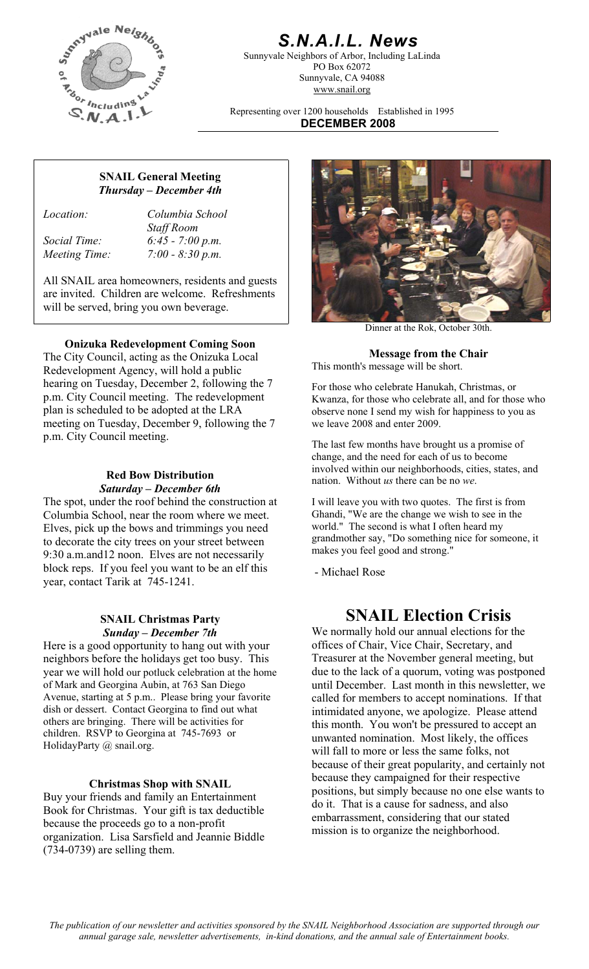

## *S.N.A.I.L. News*

Sunnyvale Neighbors of Arbor, Including LaLinda PO Box 62072 Sunnyvale, CA 94088 www.snail.org

Representing over 1200 households Established in 1995 **DECEMBER 2008**

### **SNAIL General Meeting**  *Thursday – December 4th*

*Location: Columbia School Staff Room Social Time: 6:45 - 7:00 p.m. Meeting Time: 7:00 - 8:30 p.m.* 

All SNAIL area homeowners, residents and guests are invited. Children are welcome. Refreshments will be served, bring you own beverage.

**Onizuka Redevelopment Coming Soon**<br>The City Council, acting as the Onizuka Local<br> **The Chair Message from the Chair** Redevelopment Agency, will hold a public hearing on Tuesday, December 2, following the 7 p.m. City Council meeting. The redevelopment plan is scheduled to be adopted at the LRA meeting on Tuesday, December 9, following the 7 p.m. City Council meeting.

# *Saturday – December 6th*

The spot, under the roof behind the construction at Columbia School, near the room where we meet. Elves, pick up the bows and trimmings you need to decorate the city trees on your street between 9:30 a.m.and12 noon. Elves are not necessarily block reps. If you feel you want to be an elf this year, contact Tarik at 745-1241.

# *Sunday – December 7th*

Here is a good opportunity to hang out with your neighbors before the holidays get too busy. This year we will hold our potluck celebration at the home of Mark and Georgina Aubin, at 763 San Diego Avenue, starting at 5 p.m.. Please bring your favorite dish or dessert. Contact Georgina to find out what others are bringing. There will be activities for children. RSVP to Georgina at 745-7693 or HolidayParty @ snail.org.

#### **Christmas Shop with SNAIL**

Buy your friends and family an Entertainment Book for Christmas. Your gift is tax deductible because the proceeds go to a non-profit organization. Lisa Sarsfield and Jeannie Biddle (734-0739) are selling them.



Dinner at the Rok, October 30th.

This month's message will be short.

For those who celebrate Hanukah, Christmas, or Kwanza, for those who celebrate all, and for those who observe none I send my wish for happiness to you as we leave 2008 and enter 2009.

The last few months have brought us a promise of change, and the need for each of us to become involved within our neighborhoods, cities, states, and **Red Bow Distribution nation.** Without *us* there can be no *we*.

> I will leave you with two quotes. The first is from Ghandi, "We are the change we wish to see in the world." The second is what I often heard my grandmother say, "Do something nice for someone, it makes you feel good and strong."

- Michael Rose

## **SNAIL Christmas Party SNAIL Election Crisis**

We normally hold our annual elections for the offices of Chair, Vice Chair, Secretary, and Treasurer at the November general meeting, but due to the lack of a quorum, voting was postponed until December. Last month in this newsletter, we called for members to accept nominations. If that intimidated anyone, we apologize. Please attend this month. You won't be pressured to accept an unwanted nomination. Most likely, the offices will fall to more or less the same folks, not because of their great popularity, and certainly not because they campaigned for their respective positions, but simply because no one else wants to do it. That is a cause for sadness, and also embarrassment, considering that our stated mission is to organize the neighborhood.